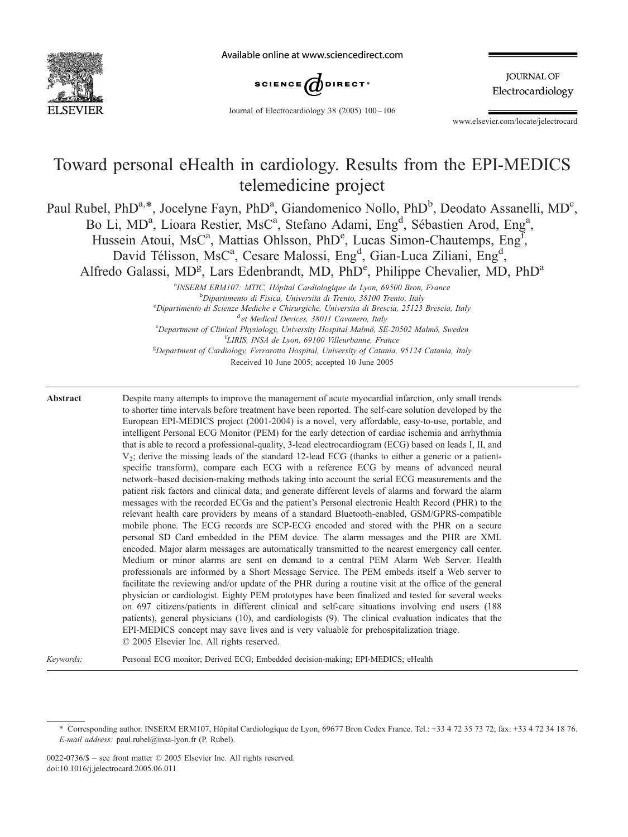

Available online at www.sciencedirect.com



Journal of Electrocardiology 38 (2005) 100-106

**JOURNAL OF** Electrocardiology

www.elsevier.com/locate/jelectrocard

# Toward personal eHealth in cardiology. Results from the EPI-MEDICS telemedicine project

Paul Rubel, PhD<sup>a,\*</sup>, Jocelyne Fayn, PhD<sup>a</sup>, Giandomenico Nollo, PhD<sup>b</sup>, Deodato Assanelli, MD<sup>c</sup>,

Bo Li, MD<sup>a</sup>, Lioara Restier, MsC<sup>a</sup>, Stefano Adami, Eng<sup>d</sup>, Sébastien Arod, Eng<sup>a</sup>,

Hussein Atoui, MsC<sup>a</sup>, Mattias Ohlsson, PhD<sup>e</sup>, Lucas Simon-Chautemps, Eng<sup>f</sup>,

David Télisson, MsC<sup>a</sup>, Cesare Malossi, Eng<sup>d</sup>, Gian-Luca Ziliani, Eng<sup>d</sup>,

Alfredo Galassi, MD<sup>g</sup>, Lars Edenbrandt, MD, PhD<sup>e</sup>, Philippe Chevalier, MD, PhD<sup>a</sup>

<sup>a</sup>INSERM ERM107: MTIC, Hôpital Cardiologique de Lyon, 69500 Bron, France<br><sup>b</sup>Dinastimanto di Eisica, Universita di Tranto, 38100 Tranto, Italy <sup>b</sup>Dipartimento di Fisica, Universita di Trento, 38100 Trento, Italy <sup>c</sup>Dipartimento di Scienze Mediche e Chirurgiche, Universita di Brescia, 25123 Brescia, Italy <sup>d</sup> et Medical Devices, 38011 Cavanero, Italy <sup>e</sup>Department of Clinical Physiology, University Hospital Malmö, SE-20502 Malmö, Sweden <sup>f</sup>LIRIS, INSA de Lyon, 69100 Villeurbanne, France  $B$ Department of Cardiology, Ferrarotto Hospital, University of Catania, 95124 Catania, Italy Received 10 June 2005; accepted 10 June 2005

Abstract Despite many attempts to improve the management of acute myocardial infarction, only small trends to shorter time intervals before treatment have been reported. The self-care solution developed by the European EPI-MEDICS project (2001-2004) is a novel, very affordable, easy-to-use, portable, and intelligent Personal ECG Monitor (PEM) for the early detection of cardiac ischemia and arrhythmia that is able to record a professional-quality, 3-lead electrocardiogram (ECG) based on leads I, II, and  $V_2$ ; derive the missing leads of the standard 12-lead ECG (thanks to either a generic or a patientspecific transform), compare each ECG with a reference ECG by means of advanced neural network–based decision-making methods taking into account the serial ECG measurements and the patient risk factors and clinical data; and generate different levels of alarms and forward the alarm messages with the recorded ECGs and the patient's Personal electronic Health Record (PHR) to the relevant health care providers by means of a standard Bluetooth-enabled, GSM/GPRS-compatible mobile phone. The ECG records are SCP-ECG encoded and stored with the PHR on a secure personal SD Card embedded in the PEM device. The alarm messages and the PHR are XML encoded. Major alarm messages are automatically transmitted to the nearest emergency call center. Medium or minor alarms are sent on demand to a central PEM Alarm Web Server. Health professionals are informed by a Short Message Service. The PEM embeds itself a Web server to facilitate the reviewing and/or update of the PHR during a routine visit at the office of the general physician or cardiologist. Eighty PEM prototypes have been finalized and tested for several weeks on 697 citizens/patients in different clinical and self-care situations involving end users (188 patients), general physicians (10), and cardiologists (9). The clinical evaluation indicates that the EPI-MEDICS concept may save lives and is very valuable for prehospitalization triage.  $© 2005 Elsevier Inc. All rights reserved.$ 

Keywords: Personal ECG monitor; Derived ECG; Embedded decision-making; EPI-MEDICS; eHealth

<sup>\*</sup> Corresponding author. INSERM ERM107, Hôpital Cardiologique de Lyon, 69677 Bron Cedex France. Tel.: +33 4 72 35 73 72; fax: +33 4 72 34 18 76. E-mail address: paul.rubel@insa-lyon.fr (P. Rubel).

 $0022-0736$ /\$ – see front matter  $\odot$  2005 Elsevier Inc. All rights reserved. doi:10.1016/j.jelectrocard.2005.06.011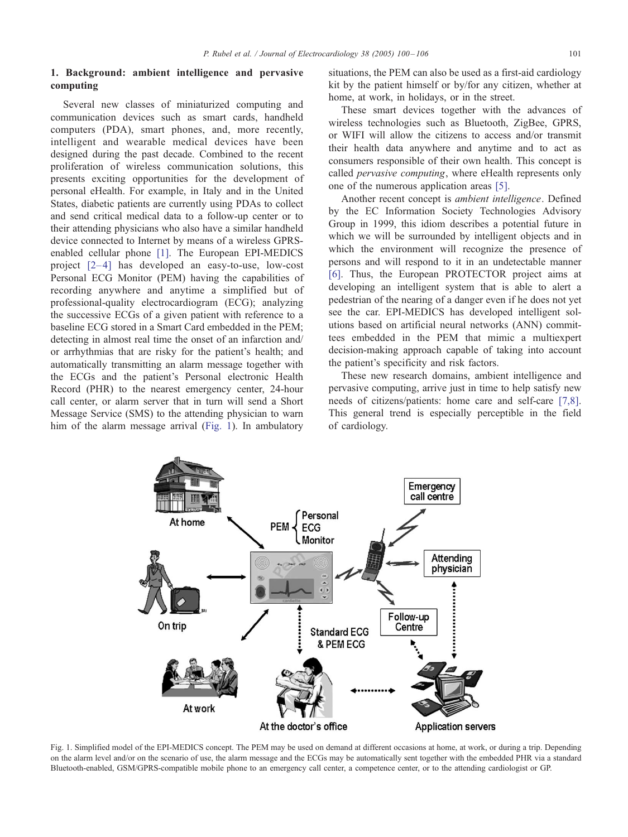## <span id="page-1-0"></span>1. Background: ambient intelligence and pervasive computing

Several new classes of miniaturized computing and communication devices such as smart cards, handheld computers (PDA), smart phones, and, more recently, intelligent and wearable medical devices have been designed during the past decade. Combined to the recent proliferation of wireless communication solutions, this presents exciting opportunities for the development of personal eHealth. For example, in Italy and in the United States, diabetic patients are currently using PDAs to collect and send critical medical data to a follow-up center or to their attending physicians who also have a similar handheld device connected to Internet by means of a wireless GPRSenabled cellular phone [\[1\].](#page-5-0) The European EPI-MEDICS project  $[2-4]$  $[2-4]$  has developed an easy-to-use, low-cost Personal ECG Monitor (PEM) having the capabilities of recording anywhere and anytime a simplified but of professional-quality electrocardiogram (ECG); analyzing the successive ECGs of a given patient with reference to a baseline ECG stored in a Smart Card embedded in the PEM; detecting in almost real time the onset of an infarction and/ or arrhythmias that are risky for the patient's health; and automatically transmitting an alarm message together with the ECGs and the patient's Personal electronic Health Record (PHR) to the nearest emergency center, 24-hour call center, or alarm server that in turn will send a Short Message Service (SMS) to the attending physician to warn him of the alarm message arrival (Fig. 1). In ambulatory situations, the PEM can also be used as a first-aid cardiology kit by the patient himself or by/for any citizen, whether at home, at work, in holidays, or in the street.

These smart devices together with the advances of wireless technologies such as Bluetooth, ZigBee, GPRS, or WIFI will allow the citizens to access and/or transmit their health data anywhere and anytime and to act as consumers responsible of their own health. This concept is called pervasive computing, where eHealth represents only one of the numerous application areas [\[5\].](#page-5-0)

Another recent concept is ambient intelligence. Defined by the EC Information Society Technologies Advisory Group in 1999, this idiom describes a potential future in which we will be surrounded by intelligent objects and in which the environment will recognize the presence of persons and will respond to it in an undetectable manner [\[6\].](#page-5-0) Thus, the European PROTECTOR project aims at developing an intelligent system that is able to alert a pedestrian of the nearing of a danger even if he does not yet see the car. EPI-MEDICS has developed intelligent solutions based on artificial neural networks (ANN) committees embedded in the PEM that mimic a multiexpert decision-making approach capable of taking into account the patient's specificity and risk factors.

These new research domains, ambient intelligence and pervasive computing, arrive just in time to help satisfy new needs of citizens/patients: home care and self-care [\[7,8\].](#page-5-0) This general trend is especially perceptible in the field of cardiology.



Fig. 1. Simplified model of the EPI-MEDICS concept. The PEM may be used on demand at different occasions at home, at work, or during a trip. Depending on the alarm level and/or on the scenario of use, the alarm message and the ECGs may be automatically sent together with the embedded PHR via a standard Bluetooth-enabled, GSM/GPRS-compatible mobile phone to an emergency call center, a competence center, or to the attending cardiologist or GP.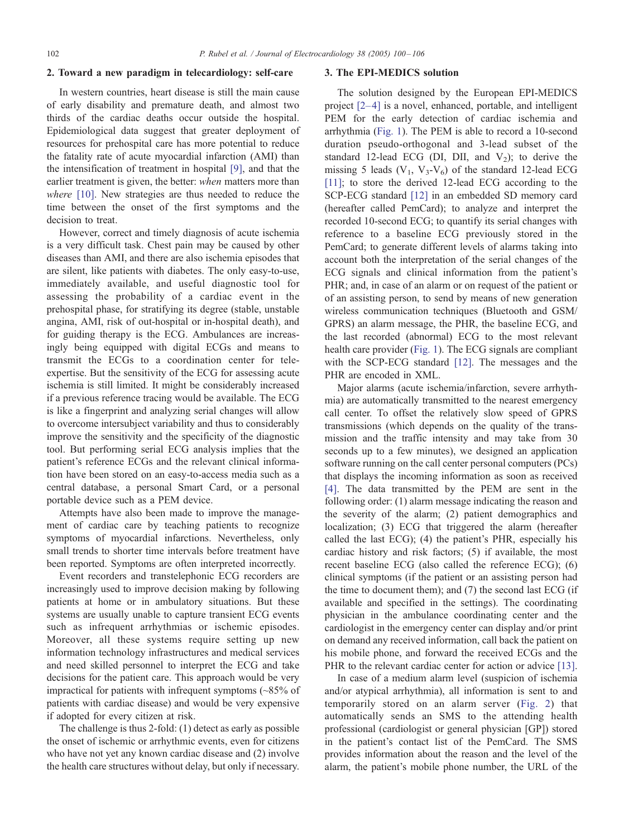## 2. Toward a new paradigm in telecardiology: self-care

In western countries, heart disease is still the main cause of early disability and premature death, and almost two thirds of the cardiac deaths occur outside the hospital. Epidemiological data suggest that greater deployment of resources for prehospital care has more potential to reduce the fatality rate of acute myocardial infarction (AMI) than the intensification of treatment in hospital [\[9\],](#page-5-0) and that the earlier treatment is given, the better: when matters more than where [\[10\]](#page-5-0). New strategies are thus needed to reduce the time between the onset of the first symptoms and the decision to treat.

However, correct and timely diagnosis of acute ischemia is a very difficult task. Chest pain may be caused by other diseases than AMI, and there are also ischemia episodes that are silent, like patients with diabetes. The only easy-to-use, immediately available, and useful diagnostic tool for assessing the probability of a cardiac event in the prehospital phase, for stratifying its degree (stable, unstable angina, AMI, risk of out-hospital or in-hospital death), and for guiding therapy is the ECG. Ambulances are increasingly being equipped with digital ECGs and means to transmit the ECGs to a coordination center for teleexpertise. But the sensitivity of the ECG for assessing acute ischemia is still limited. It might be considerably increased if a previous reference tracing would be available. The ECG is like a fingerprint and analyzing serial changes will allow to overcome intersubject variability and thus to considerably improve the sensitivity and the specificity of the diagnostic tool. But performing serial ECG analysis implies that the patient's reference ECGs and the relevant clinical information have been stored on an easy-to-access media such as a central database, a personal Smart Card, or a personal portable device such as a PEM device.

Attempts have also been made to improve the management of cardiac care by teaching patients to recognize symptoms of myocardial infarctions. Nevertheless, only small trends to shorter time intervals before treatment have been reported. Symptoms are often interpreted incorrectly.

Event recorders and transtelephonic ECG recorders are increasingly used to improve decision making by following patients at home or in ambulatory situations. But these systems are usually unable to capture transient ECG events such as infrequent arrhythmias or ischemic episodes. Moreover, all these systems require setting up new information technology infrastructures and medical services and need skilled personnel to interpret the ECG and take decisions for the patient care. This approach would be very impractical for patients with infrequent symptoms (~85% of patients with cardiac disease) and would be very expensive if adopted for every citizen at risk.

The challenge is thus 2-fold: (1) detect as early as possible the onset of ischemic or arrhythmic events, even for citizens who have not yet any known cardiac disease and (2) involve the health care structures without delay, but only if necessary.

#### 3. The EPI-MEDICS solution

The [soluti](#page-5-0)on designed by the European EPI-MEDICS project  $[2-4]$  is a novel, enhanced, portable, and intelligent PEM for the early detection of cardiac ischemia and arrhythmia ([Fig.](#page-1-0) [1\)](#page-1-0). The PEM is able to record a 10-second duration pseudo-orthogonal and 3-lead subset of the standard 12-lead ECG (DI, DII, and  $V_2$ ); to derive the missing 5 leads  $(V_1, V_3-V_6)$  of the standard 12-lead ECG [\[11\];](#page-5-0) to store the derived 12-lead ECG according to the SCP-ECG standard [\[12\]](#page-6-0) in an embedded SD memory card (hereafter called PemCard); to analyze and interpret the recorded 10-second ECG; to quantify its serial changes with reference to a baseline ECG previously stored in the PemCard; to generate different levels of alarms taking into account both the interpretation of the serial changes of the ECG signals and clinical information from the patient's PHR; and, in case of an alarm or on request of the patient or of an assisting person, to send by means of new generation wireless communication techniques (Bluetooth and GSM/ GPRS) an alarm message, the PHR, the baseline ECG, and the last recorded (abnormal) ECG to the most relevant health care provider ([Fig.](#page-1-0) [1\)](#page-1-0). The ECG signals are compliant with the SCP-ECG standard [\[12\].](#page-6-0) The messages and the PHR are encoded in XML.

Major alarms (acute ischemia/infarction, severe arrhythmia) are automatically transmitted to the nearest emergency call center. To offset the relatively slow speed of GPRS transmissions (which depends on the quality of the transmission and the traffic intensity and may take from 30 seconds up to a few minutes), we designed an application software running on the call center personal computers (PCs) that displays the incoming information as soon as received [\[4\].](#page-5-0) The data transmitted by the PEM are sent in the following order: (1) alarm message indicating the reason and the severity of the alarm; (2) patient demographics and localization; (3) ECG that triggered the alarm (hereafter called the last ECG); (4) the patient's PHR, especially his cardiac history and risk factors; (5) if available, the most recent baseline ECG (also called the reference ECG); (6) clinical symptoms (if the patient or an assisting person had the time to document them); and (7) the second last ECG (if available and specified in the settings). The coordinating physician in the ambulance coordinating center and the cardiologist in the emergency center can display and/or print on demand any received information, call back the patient on his mobile phone, and forward the received ECGs and the PHR to the relevant cardiac center for action or advice [\[13\].](#page-6-0)

In case of a medium alarm level (suspicion of ischemia and/or atypical arrhythmia), all information is sent to and temporarily stored on an alarm server ([Fig. 2\)](#page-3-0) that automatically sends an SMS to the attending health professional (cardiologist or general physician [GP]) stored in the patient's contact list of the PemCard. The SMS provides information about the reason and the level of the alarm, the patient's mobile phone number, the URL of the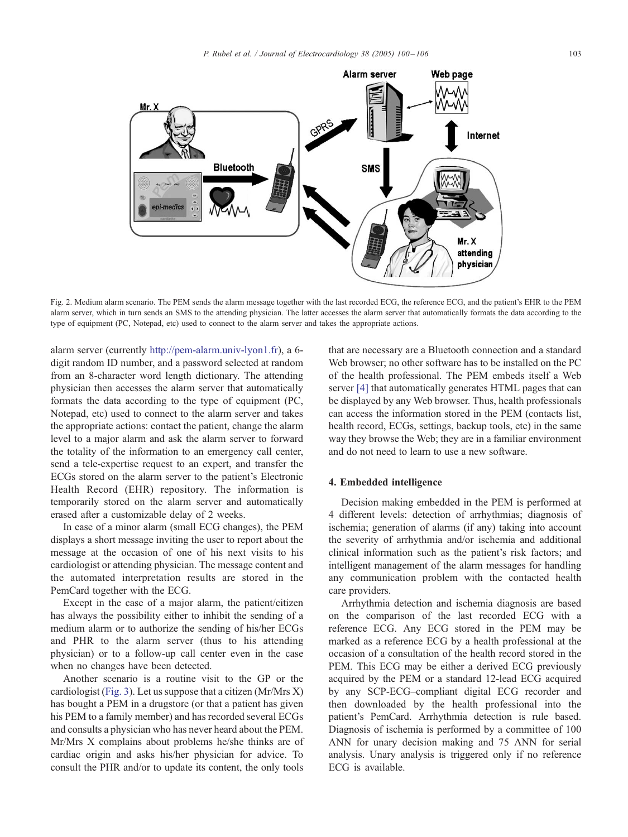<span id="page-3-0"></span>

Fig. 2. Medium alarm scenario. The PEM sends the alarm message together with the last recorded ECG, the reference ECG, and the patient's EHR to the PEM alarm server, which in turn sends an SMS to the attending physician. The latter accesses the alarm server that automatically formats the data according to the type of equipment (PC, Notepad, etc) used to connect to the alarm server and takes the appropriate actions.

alarm server (currently [http://pem-alarm.univ-lyon1.fr\)](http://pem-alarm.univ-lyon1.fr), a 6 digit random ID number, and a password selected at random from an 8-character word length dictionary. The attending physician then accesses the alarm server that automatically formats the data according to the type of equipment (PC, Notepad, etc) used to connect to the alarm server and takes the appropriate actions: contact the patient, change the alarm level to a major alarm and ask the alarm server to forward the totality of the information to an emergency call center, send a tele-expertise request to an expert, and transfer the ECGs stored on the alarm server to the patient's Electronic Health Record (EHR) repository. The information is temporarily stored on the alarm server and automatically erased after a customizable delay of 2 weeks.

In case of a minor alarm (small ECG changes), the PEM displays a short message inviting the user to report about the message at the occasion of one of his next visits to his cardiologist or attending physician. The message content and the automated interpretation results are stored in the PemCard together with the ECG.

Except in the case of a major alarm, the patient/citizen has always the possibility either to inhibit the sending of a medium alarm or to authorize the sending of his/her ECGs and PHR to the alarm server (thus to his attending physician) or to a follow-up call center even in the case when no changes have been detected.

Another scenario is a routine visit to the GP or the cardiologist ([Fig. 3\)](#page-4-0). Let us suppose that a citizen (Mr/Mrs X) has bought a PEM in a drugstore (or that a patient has given his PEM to a family member) and has recorded several ECGs and consults a physician who has never heard about the PEM. Mr/Mrs X complains about problems he/she thinks are of cardiac origin and asks his/her physician for advice. To consult the PHR and/or to update its content, the only tools

that are necessary are a Bluetooth connection and a standard Web browser; no other software has to be installed on the PC of the health professional. The PEM embeds itself a Web server [\[4\]](#page-5-0) that automatically generates HTML pages that can be displayed by any Web browser. Thus, health professionals can access the information stored in the PEM (contacts list, health record, ECGs, settings, backup tools, etc) in the same way they browse the Web; they are in a familiar environment and do not need to learn to use a new software.

## 4. Embedded intelligence

Decision making embedded in the PEM is performed at 4 different levels: detection of arrhythmias; diagnosis of ischemia; generation of alarms (if any) taking into account the severity of arrhythmia and/or ischemia and additional clinical information such as the patient's risk factors; and intelligent management of the alarm messages for handling any communication problem with the contacted health care providers.

Arrhythmia detection and ischemia diagnosis are based on the comparison of the last recorded ECG with a reference ECG. Any ECG stored in the PEM may be marked as a reference ECG by a health professional at the occasion of a consultation of the health record stored in the PEM. This ECG may be either a derived ECG previously acquired by the PEM or a standard 12-lead ECG acquired by any SCP-ECG–compliant digital ECG recorder and then downloaded by the health professional into the patient's PemCard. Arrhythmia detection is rule based. Diagnosis of ischemia is performed by a committee of 100 ANN for unary decision making and 75 ANN for serial analysis. Unary analysis is triggered only if no reference ECG is available.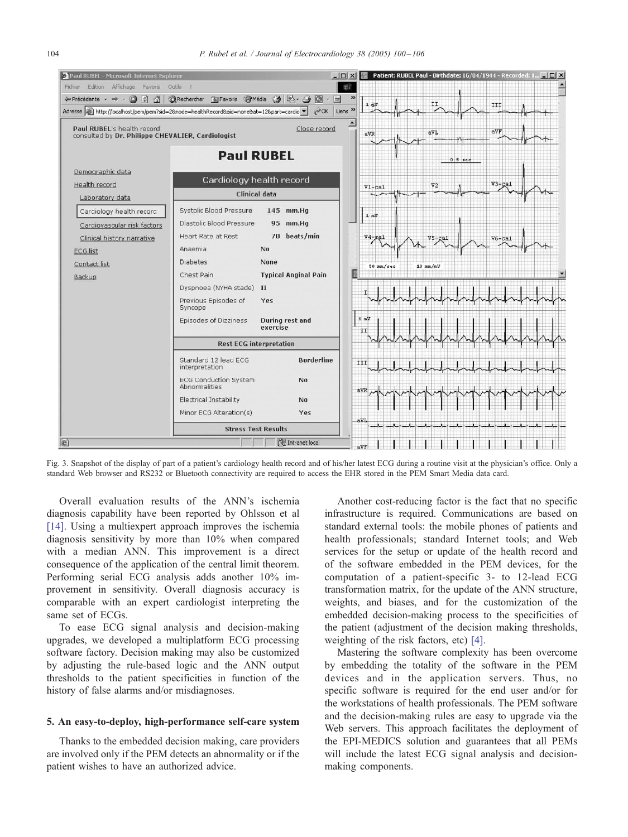<span id="page-4-0"></span>

Fig. 3. Snapshot of the display of part of a patient's cardiology health record and of his/her latest ECG during a routine visit at the physician's office. Only a standard Web browser and RS232 or Bluetooth connectivity are required to access the EHR stored in the PEM Smart Media data card.

Overall evaluation results of the ANN's ischemia diagnosis capability have been reported by Ohlsson et al [\[14\].](#page-6-0) Using a multiexpert approach improves the ischemia diagnosis sensitivity by more than 10% when compared with a median ANN. This improvement is a direct consequence of the application of the central limit theorem. Performing serial ECG analysis adds another 10% improvement in sensitivity. Overall diagnosis accuracy is comparable with an expert cardiologist interpreting the same set of ECGs.

To ease ECG signal analysis and decision-making upgrades, we developed a multiplatform ECG processing software factory. Decision making may also be customized by adjusting the rule-based logic and the ANN output thresholds to the patient specificities in function of the history of false alarms and/or misdiagnoses.

#### 5. An easy-to-deploy, high-performance self-care system

Thanks to the embedded decision making, care providers are involved only if the PEM detects an abnormality or if the patient wishes to have an authorized advice.

Another cost-reducing factor is the fact that no specific infrastructure is required. Communications are based on standard external tools: the mobile phones of patients and health professionals; standard Internet tools; and Web services for the setup or update of the health record and of the software embedded in the PEM devices, for the computation of a patient-specific 3- to 12-lead ECG transformation matrix, for the update of the ANN structure, weights, and biases, and for the customization of the embedded decision-making process to the specificities of the patient (adjustment of the decision making thresholds, weighting of the risk factors, etc) [\[4\].](#page-5-0)

Mastering the software complexity has been overcome by embedding the totality of the software in the PEM devices and in the application servers. Thus, no specific software is required for the end user and/or for the workstations of health professionals. The PEM software and the decision-making rules are easy to upgrade via the Web servers. This approach facilitates the deployment of the EPI-MEDICS solution and guarantees that all PEMs will include the latest ECG signal analysis and decisionmaking components.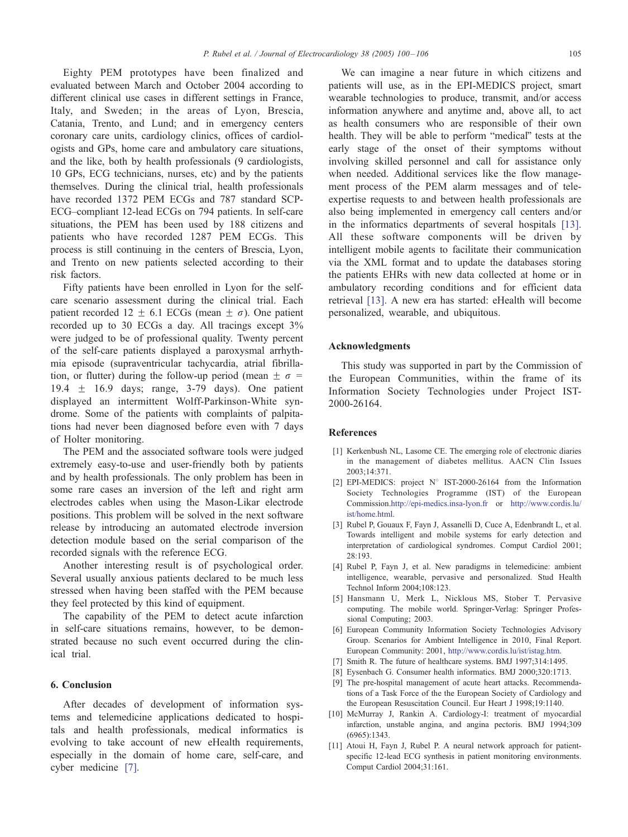<span id="page-5-0"></span>Eighty PEM prototypes have been finalized and evaluated between March and October 2004 according to different clinical use cases in different settings in France, Italy, and Sweden; in the areas of Lyon, Brescia, Catania, Trento, and Lund; and in emergency centers coronary care units, cardiology clinics, offices of cardiologists and GPs, home care and ambulatory care situations, and the like, both by health professionals (9 cardiologists, 10 GPs, ECG technicians, nurses, etc) and by the patients themselves. During the clinical trial, health professionals have recorded 1372 PEM ECGs and 787 standard SCP-ECG–compliant 12-lead ECGs on 794 patients. In self-care situations, the PEM has been used by 188 citizens and patients who have recorded 1287 PEM ECGs. This process is still continuing in the centers of Brescia, Lyon, and Trento on new patients selected according to their risk factors.

Fifty patients have been enrolled in Lyon for the selfcare scenario assessment during the clinical trial. Each patient recorded 12  $\pm$  6.1 ECGs (mean  $\pm \sigma$ ). One patient recorded up to 30 ECGs a day. All tracings except 3% were judged to be of professional quality. Twenty percent of the self-care patients displayed a paroxysmal arrhythmia episode (supraventricular tachycardia, atrial fibrillation, or flutter) during the follow-up period (mean  $\pm \sigma =$ 19.4  $\pm$  16.9 days; range, 3-79 days). One patient displayed an intermittent Wolff-Parkinson-White syndrome. Some of the patients with complaints of palpitations had never been diagnosed before even with 7 days of Holter monitoring.

The PEM and the associated software tools were judged extremely easy-to-use and user-friendly both by patients and by health professionals. The only problem has been in some rare cases an inversion of the left and right arm electrodes cables when using the Mason-Likar electrode positions. This problem will be solved in the next software release by introducing an automated electrode inversion detection module based on the serial comparison of the recorded signals with the reference ECG.

Another interesting result is of psychological order. Several usually anxious patients declared to be much less stressed when having been staffed with the PEM because they feel protected by this kind of equipment.

The capability of the PEM to detect acute infarction in self-care situations remains, however, to be demonstrated because no such event occurred during the clinical trial.

## 6. Conclusion

After decades of development of information systems and telemedicine applications dedicated to hospitals and health professionals, medical informatics is evolving to take account of new eHealth requirements, especially in the domain of home care, self-care, and cyber medicine [7].

We can imagine a near future in which citizens and patients will use, as in the EPI-MEDICS project, smart wearable technologies to produce, transmit, and/or access information anywhere and anytime and, above all, to act as health consumers who are responsible of their own health. They will be able to perform "medical" tests at the early stage of the onset of their symptoms without involving skilled personnel and call for assistance only when needed. Additional services like the flow management process of the PEM alarm messages and of teleexpertise requests to and between health professionals are also being implemented in emergency call centers and/or in the informatics departments of several hospitals [\[13\].](#page-6-0) All these software components will be driven by intelligent mobile agents to facilitate their communication via the XML format and to update the databases storing the patients EHRs with new data collected at home or in ambulatory recording conditions and for efficient data retrieval [\[13\].](#page-6-0) A new era has started: eHealth will become personalized, wearable, and ubiquitous.

#### Acknowledgments

This study was supported in part by the Commission of the European Communities, within the frame of its Information Society Technologies under Project IST-2000-26164.

#### References

- [1] Kerkenbush NL, Lasome CE. The emerging role of electronic diaries in the management of diabetes mellitus. AACN Clin Issues 2003;14:371.
- [2] EPI-MEDICS: project  $N^{\circ}$  IST-2000-26164 from the Information Society Te[chnologies Programme \(I](http://ep-Emedics.insa-Elyon.fr)ST) [of the European](http://www.cordis.lu/ist/home.html) Commission.http://epi-medics.insa-lyon.fr or http://www.cordis.lu/ ist/home.html.
- [3] Rubel P, Gouaux F, Fayn J, Assanelli D, Cuce A, Edenbrandt L, et al. Towards intelligent and mobile systems for early detection and interpretation of cardiological syndromes. Comput Cardiol 2001; 28:193.
- [4] Rubel P, Fayn J, et al. New paradigms in telemedicine: ambient intelligence, wearable, pervasive and personalized. Stud Health Technol Inform 2004;108:123.
- [5] Hansmann U, Merk L, Nicklous MS, Stober T. Pervasive computing. The mobile world. Springer-Verlag: Springer Professional Computing; 2003.
- [6] European Community Information Society Technologies Advisory Group. Scenarios for Ambient Intelligence in 2010, Final Report. European Community: 2001, [http://www.cordis.lu/ist/istag.htm.](http://www.cordis.lu/ist/istag.htm)
- [7] Smith R. The future of healthcare systems. BMJ 1997;314:1495.
- [8] Eysenbach G. Consumer health informatics. BMJ 2000;320:1713.
- [9] The pre-hospital management of acute heart attacks. Recommendations of a Task Force of the the European Society of Cardiology and the European Resuscitation Council. Eur Heart J 1998;19:1140.
- [10] McMurray J, Rankin A. Cardiology-I: treatment of myocardial infarction, unstable angina, and angina pectoris. BMJ 1994;309 (6965):1343.
- [11] Atoui H, Fayn J, Rubel P. A neural network approach for patientspecific 12-lead ECG synthesis in patient monitoring environments. Comput Cardiol 2004;31:161.